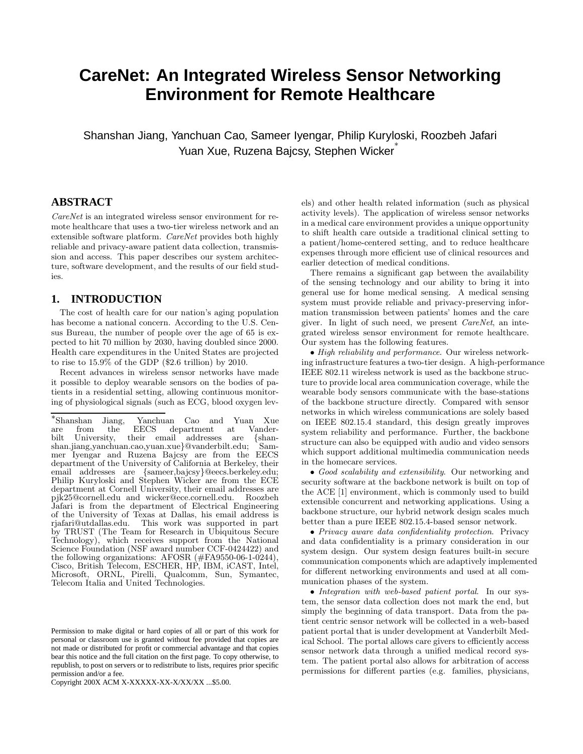# **CareNet: An Integrated Wireless Sensor Networking Environment for Remote Healthcare**

Shanshan Jiang, Yanchuan Cao, Sameer Iyengar, Philip Kuryloski, Roozbeh Jafari Yuan Xue, Ruzena Bajcsy, Stephen Wicker ∗

## **ABSTRACT**

CareNet is an integrated wireless sensor environment for remote healthcare that uses a two-tier wireless network and an extensible software platform. *CareNet* provides both highly reliable and privacy-aware patient data collection, transmission and access. This paper describes our system architecture, software development, and the results of our field studies.

## **1. INTRODUCTION**

The cost of health care for our nation's aging population has become a national concern. According to the U.S. Census Bureau, the number of people over the age of 65 is expected to hit 70 million by 2030, having doubled since 2000. Health care expenditures in the United States are projected to rise to 15.9% of the GDP (\$2.6 trillion) by 2010.

Recent advances in wireless sensor networks have made it possible to deploy wearable sensors on the bodies of patients in a residential setting, allowing continuous monitoring of physiological signals (such as ECG, blood oxygen lev-

Copyright 200X ACM X-XXXXX-XX-X/XX/XX ...\$5.00.

els) and other health related information (such as physical activity levels). The application of wireless sensor networks in a medical care environment provides a unique opportunity to shift health care outside a traditional clinical setting to a patient/home-centered setting, and to reduce healthcare expenses through more efficient use of clinical resources and earlier detection of medical conditions.

There remains a significant gap between the availability of the sensing technology and our ability to bring it into general use for home medical sensing. A medical sensing system must provide reliable and privacy-preserving information transmission between patients' homes and the care giver. In light of such need, we present CareNet, an integrated wireless sensor environment for remote healthcare. Our system has the following features.

• High reliability and performance. Our wireless networking infrastructure features a two-tier design. A high-performance IEEE 802.11 wireless network is used as the backbone structure to provide local area communication coverage, while the wearable body sensors communicate with the base-stations of the backbone structure directly. Compared with sensor networks in which wireless communications are solely based on IEEE 802.15.4 standard, this design greatly improves system reliability and performance. Further, the backbone structure can also be equipped with audio and video sensors which support additional multimedia communication needs in the homecare services.

• Good scalability and extensibility. Our networking and security software at the backbone network is built on top of the ACE [1] environment, which is commonly used to build extensible concurrent and networking applications. Using a backbone structure, our hybrid network design scales much better than a pure IEEE 802.15.4-based sensor network.

• Privacy aware data confidentiality protection. Privacy and data confidentiality is a primary consideration in our system design. Our system design features built-in secure communication components which are adaptively implemented for different networking environments and used at all communication phases of the system.

• Integration with web-based patient portal. In our system, the sensor data collection does not mark the end, but simply the beginning of data transport. Data from the patient centric sensor network will be collected in a web-based patient portal that is under development at Vanderbilt Medical School. The portal allows care givers to efficiently access sensor network data through a unified medical record system. The patient portal also allows for arbitration of access permissions for different parties (e.g. families, physicians,

<sup>∗</sup> Shanshan Jiang, Yanchuan Cao and Yuan Xue are from the EECS department at Vanderbilt University, their email addresses are {shanshan.jiang,yanchuan.cao,yuan.xue}@vanderbilt.edu; Sammer Iyengar and Ruzena Bajcsy are from the EECS department of the University of California at Berkeley, their email addresses are {sameer,bajcsy}@eecs.berkeley.edu; Philip Kuryloski and Stephen Wicker are from the ECE department at Cornell University, their email addresses are pjk25@cornell.edu and wicker@ece.cornell.edu. Roozbeh Jafari is from the department of Electrical Engineering of the University of Texas at Dallas, his email address is rjafari@utdallas.edu. This work was supported in part by TRUST (The Team for Research in Ubiquitous Secure Technology), which receives support from the National Science Foundation (NSF award number CCF-0424422) and the following organizations: AFOSR (#FA9550-06-1-0244), Cisco, British Telecom, ESCHER, HP, IBM, iCAST, Intel, Microsoft, ORNL, Pirelli, Qualcomm, Sun, Symantec, Telecom Italia and United Technologies.

Permission to make digital or hard copies of all or part of this work for personal or classroom use is granted without fee provided that copies are not made or distributed for profit or commercial advantage and that copies bear this notice and the full citation on the first page. To copy otherwise, to republish, to post on servers or to redistribute to lists, requires prior specific permission and/or a fee.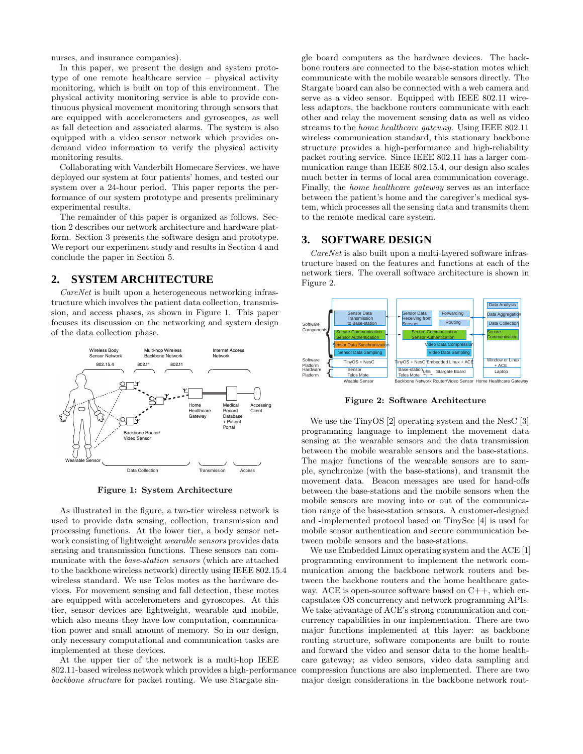nurses, and insurance companies).

In this paper, we present the design and system prototype of one remote healthcare service – physical activity monitoring, which is built on top of this environment. The physical activity monitoring service is able to provide continuous physical movement monitoring through sensors that are equipped with accelerometers and gyroscopes, as well as fall detection and associated alarms. The system is also equipped with a video sensor network which provides ondemand video information to verify the physical activity monitoring results.

Collaborating with Vanderbilt Homecare Services, we have deployed our system at four patients' homes, and tested our system over a 24-hour period. This paper reports the performance of our system prototype and presents preliminary experimental results.

The remainder of this paper is organized as follows. Section 2 describes our network architecture and hardware platform. Section 3 presents the software design and prototype. We report our experiment study and results in Section 4 and conclude the paper in Section 5.

## **2. SYSTEM ARCHITECTURE**

CareNet is built upon a heterogeneous networking infrastructure which involves the patient data collection, transmission, and access phases, as shown in Figure 1. This paper focuses its discussion on the networking and system design of the data collection phase.



Figure 1: System Architecture

As illustrated in the figure, a two-tier wireless network is used to provide data sensing, collection, transmission and processing functions. At the lower tier, a body sensor network consisting of lightweight wearable sensors provides data sensing and transmission functions. These sensors can communicate with the base-station sensors (which are attached to the backbone wireless network) directly using IEEE 802.15.4 wireless standard. We use Telos motes as the hardware devices. For movement sensing and fall detection, these motes are equipped with accelerometers and gyroscopes. At this tier, sensor devices are lightweight, wearable and mobile, which also means they have low computation, communication power and small amount of memory. So in our design, only necessary computational and communication tasks are implemented at these devices.

At the upper tier of the network is a multi-hop IEEE 802.11-based wireless network which provides a high-performance backbone structure for packet routing. We use Stargate sin-

gle board computers as the hardware devices. The backbone routers are connected to the base-station motes which communicate with the mobile wearable sensors directly. The Stargate board can also be connected with a web camera and serve as a video sensor. Equipped with IEEE 802.11 wireless adaptors, the backbone routers communicate with each other and relay the movement sensing data as well as video streams to the home healthcare gateway. Using IEEE 802.11 wireless communication standard, this stationary backbone structure provides a high-performance and high-reliability packet routing service. Since IEEE 802.11 has a larger communication range than IEEE 802.15.4, our design also scales much better in terms of local area communication coverage. Finally, the home healthcare gateway serves as an interface between the patient's home and the caregiver's medical system, which processes all the sensing data and transmits them to the remote medical care system.

#### **3. SOFTWARE DESIGN**

CareNet is also built upon a multi-layered software infrastructure based on the features and functions at each of the network tiers. The overall software architecture is shown in Figure 2.



Figure 2: Software Architecture

We use the TinyOS [2] operating system and the NesC [3] programming language to implement the movement data sensing at the wearable sensors and the data transmission between the mobile wearable sensors and the base-stations. The major functions of the wearable sensors are to sample, synchronize (with the base-stations), and transmit the movement data. Beacon messages are used for hand-offs between the base-stations and the mobile sensors when the mobile sensors are moving into or out of the communication range of the base-station sensors. A customer-designed and -implemented protocol based on TinySec [4] is used for mobile sensor authentication and secure communication between mobile sensors and the base-stations.

We use Embedded Linux operating system and the ACE [1] programming environment to implement the network communication among the backbone network routers and between the backbone routers and the home healthcare gateway. ACE is open-source software based on  $C_{++}$ , which encapsulates OS concurrency and network programming APIs. We take advantage of ACE's strong communication and concurrency capabilities in our implementation. There are two major functions implemented at this layer: as backbone routing structure, software components are built to route and forward the video and sensor data to the home healthcare gateway; as video sensors, video data sampling and compression functions are also implemented. There are two major design considerations in the backbone network rout